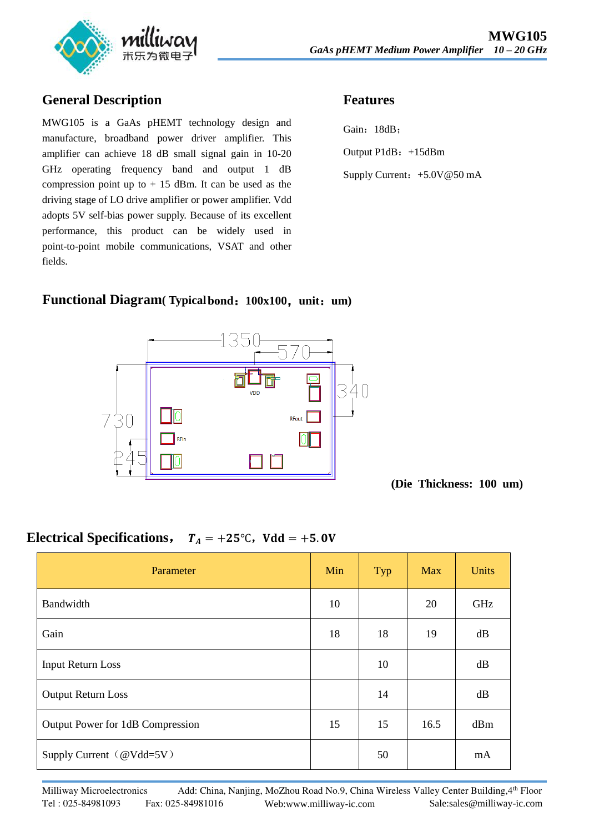

#### **General Description**

MWG105 is a GaAs pHEMT technology design and manufacture, broadband power driver amplifier. This amplifier can achieve 18 dB small signal gain in 10-20 GHz operating frequency band and output 1 dB compression point up to  $+15$  dBm. It can be used as the driving stage of LO drive amplifier or power amplifier. Vdd adopts 5V self-bias power supply. Because of its excellent performance, this product can be widely used in point-to-point mobile communications, VSAT and other fields.

## **Features**

Gain: 18dB; Output P1dB: +15dBm Supply Current: +5.0V@50 mA

#### **Functional Diagram( Typicalbond**:**100x100**,**unit**:**um)**



**(Die Thickness: 100 um)** 

### **Electrical Specifications,**  $T_A = +25^\circ \text{C}$ ,  $V d d = +5.0 \text{V}$

| Parameter                        | Min | Typ | <b>Max</b> | <b>Units</b> |
|----------------------------------|-----|-----|------------|--------------|
| Bandwidth                        | 10  |     | 20         | GHz          |
| Gain                             | 18  | 18  | 19         | dB           |
| <b>Input Return Loss</b>         |     | 10  |            | dB           |
| Output Return Loss               |     | 14  |            | dB           |
| Output Power for 1dB Compression | 15  | 15  | 16.5       | dBm          |
| Supply Current (@Vdd=5V)         |     | 50  |            | mA           |